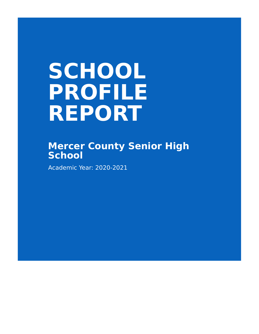# **SCHOOL PROFILE REPORT**

# **Mercer County Senior High School**

Academic Year: 2020-2021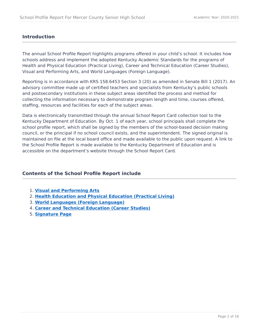# **Introduction**

The annual School Profile Report highlights programs offered in your child's school. It includes how schools address and implement the adopted Kentucky Academic Standards for the programs of Health and Physical Education (Practical Living), Career and Technical Education (Career Studies), Visual and Performing Arts, and World Languages (Foreign Language).

Reporting is in accordance with KRS 158.6453 Section 3 (20) as amended in Senate Bill 1 (2017). An advisory committee made up of certified teachers and specialists from Kentucky's public schools and postsecondary institutions in these subject areas identified the process and method for collecting the information necessary to demonstrate program length and time, courses offered, staffing, resources and facilities for each of the subject areas.

Data is electronically transmitted through the annual School Report Card collection tool to the Kentucky Department of Education. By Oct. 1 of each year, school principals shall complete the school profile report, which shall be signed by the members of the school-based decision making council, or the principal if no school council exists, and the superintendent. The signed original is maintained on file at the local board office and made available to the public upon request. A link to the School Profile Report is made available to the Kentucky Department of Education and is accessible on the department's website through the School Report Card.

# **Contents of the School Profile Report include**

- **[Visual and Performing Arts](#page-2-0)** 1.
- **[Health Education and Physical Education \(Practical Living\)](#page-5-0)** 2.
- **[World Languages \(Foreign Language\)](#page-7-0)** 3.
- **[Career and Technical Education \(Career Studies\)](#page-10-0)** 4.
- **[Signature Page](#page-15-0)** 5.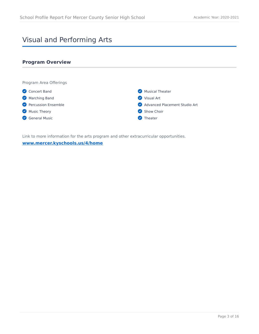# <span id="page-2-0"></span>Visual and Performing Arts

# **Program Overview**



Link to more information for the arts program and other extracurricular opportunities.

#### **[www.mercer.kyschools.us/4/home](https://www.mercer.kyschools.us/4/home)**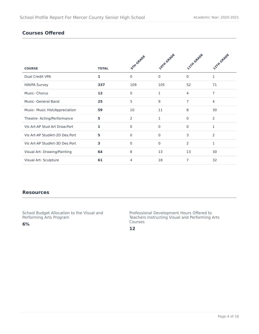# **Courses Offered**

|                                |              | <b>STIT GRADE</b> | <b>LOTH GRADE</b> | <b>LITTY GRADE</b> | <b>22TH GRADE</b> |
|--------------------------------|--------------|-------------------|-------------------|--------------------|-------------------|
| <b>COURSE</b>                  | <b>TOTAL</b> |                   |                   |                    |                   |
| Dual Credit VPA                | $\mathbf{1}$ | $\Omega$          | $\Omega$          | $\Omega$           | $\mathbf{1}$      |
| <b>HAVPA Survey</b>            | 337          | 109               | 105               | 52                 | 71                |
| Music- Chorus                  | 12           | $\Omega$          | 1                 | $\overline{4}$     | $\overline{7}$    |
| <b>Music- General Band</b>     | 25           | 5                 | 9                 | 7                  | $\overline{4}$    |
| Music- Music Hist/Appreciation | 59           | 10                | 11                | 8                  | 30                |
| Theatre- Acting/Performance    | 5            | $\overline{2}$    | 1                 | $\Omega$           | 2                 |
| Vis Art-AP Stud Art Draw.Port  | 1            | $\Omega$          | $\mathbf 0$       | $\mathbf 0$        | $\mathbf{1}$      |
| Vis Art-AP StudArt-2D Des.Port | 5            | $\Omega$          | $\mathbf{0}$      | 3                  | 2                 |
| Vis Art-AP StudArt-3D Des.Port | 3            | $\Omega$          | $\mathbf 0$       | 2                  | 1                 |
| Visual Art- Drawing/Painting   | 64           | 8                 | 13                | 13                 | 30                |
| Visual Art- Sculpture          | 61           | 4                 | 18                | 7                  | 32                |

#### **Resources**

School Budget Allocation to the Visual and Performing Arts Program

**6%**

Professional Development Hours Offered to Teachers Instructing Visual and Performing Arts Courses

**12**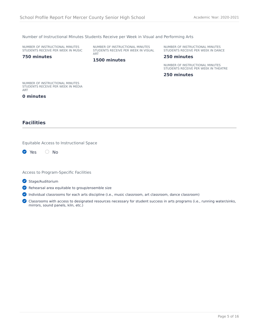#### Number of Instructional Minutes Students Receive per Week in Visual and Performing Arts

NUMBER OF INSTRUCTIONAL MINUTES STUDENTS RECEIVE PER WEEK IN MUSIC NUMBER OF INSTRUCTIONAL MINUTES STUDENTS RECEIVE PER WEEK IN VISUAL ART

**1500 minutes**

NUMBER OF INSTRUCTIONAL MINUTES STUDENTS RECEIVE PER WEEK IN DANCE

#### **250 minutes**

NUMBER OF INSTRUCTIONAL MINUTES STUDENTS RECEIVE PER WEEK IN THEATRE

**250 minutes**

NUMBER OF INSTRUCTIONAL MINUTES STUDENTS RECEIVE PER WEEK IN MEDIA ART

#### **0 minutes**

**750 minutes**

## **Facilities**

Equitable Access to Instructional Space

Yes O No

Access to Program-Specific Facilities

Stage/Auditorium

Rehearsal area equitable to group/ensemble size

Individual classrooms for each arts discipline (i.e., music classroom, art classroom, dance classroom)

C Classrooms with access to designated resources necessary for student success in arts programs (i.e., running water/sinks, mirrors, sound panels, kiln, etc.)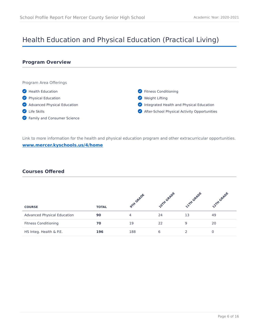# <span id="page-5-0"></span>Health Education and Physical Education (Practical Living)

## **Program Overview**



Link to more information for the health and physical education program and other extracurricular opportunities. **[www.mercer.kyschools.us/4/home](https://www.mercer.kyschools.us/4/home)**

# **Courses Offered**

| <b>COURSE</b>                      | <b>TOTAL</b> | <b>TH GRADY</b> | oith GRADL | <b>ITH GRAD</b> | <b>2TH GRADY</b> |
|------------------------------------|--------------|-----------------|------------|-----------------|------------------|
| <b>Advanced Physical Education</b> | 90           |                 | 24         | 13              | 49               |
| <b>Fitness Conditioning</b>        | 70           | 19              | 22         | q               | 20               |
| HS Integ. Health & P.E.            | 196          | 188             | 6          |                 |                  |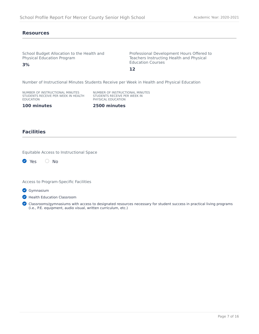#### **Resources**

**3%**

School Budget Allocation to the Health and Physical Education Program

Professional Development Hours Offered to Teachers Instructing Health and Physical Education Courses

**12**

Number of Instructional Minutes Students Receive per Week in Health and Physical Education

NUMBER OF INSTRUCTIONAL MINUTES STUDENTS RECEIVE PER WEEK IN HEALTH EDUCATION

NUMBER OF INSTRUCTIONAL MINUTES STUDENTS RECEIVE PER WEEK IN PHYSICAL EDUCATION

**100 minutes**

**2500 minutes**

## **Facilities**

Equitable Access to Instructional Space

**2** Yes O No

Access to Program-Specific Facilities

**Gymnasium** 

**Health Education Classroom** 

C Classrooms/gymnasiums with access to designated resources necessary for student success in practical living programs (i.e., P.E. equipment, audio visual, written curriculum, etc.)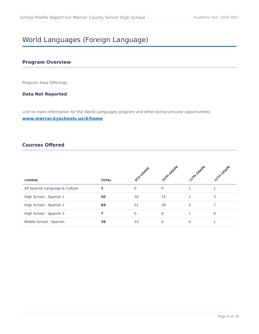# <span id="page-7-0"></span>World Languages (Foreign Language)

## **Program Overview**

Program Area Offerings

## **Data Not Reported**

Link to more information for the World Languages program and other extracurricular opportunities.

#### **[www.mercer.kyschools.us/4/home](https://www.mercer.kyschools.us/4/home)**

# **Courses Offered**

| <b>COURSE</b>                 | <b>TOTAL</b> | orth GRADE   | <b>ZOTH GRADE</b> | <b>12TH GRADE</b> | <b>22TH GRADE</b> |
|-------------------------------|--------------|--------------|-------------------|-------------------|-------------------|
|                               |              |              |                   |                   |                   |
| AP Spanish Language & Culture | $\mathbf{z}$ | $\mathbf{0}$ | $\mathbf 0$       |                   |                   |
| High School - Spanish 1       | 50           | 30           | 15                | $\mathcal{P}$     | 3                 |
| High School - Spanish 2       | 89           | 51           | 28                | 3                 |                   |
| High School - Spanish 3       |              | $\Omega$     | 6                 |                   | $\Omega$          |
| Middle School - Spanish       | 38           | 33           | 4                 |                   |                   |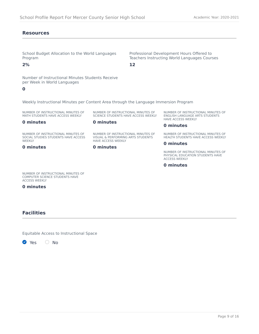#### **Resources**

School Budget Allocation to the World Languages Program

**2%**

Number of Instructional Minutes Students Receive per Week in World Languages

#### **0**

Weekly Instructional Minutes per Content Area through the Language Immersion Program

NUMBER OF INSTRUCTIONAL MINUTES OF MATH STUDENTS HAVE ACCESS WEEKLY

NUMBER OF INSTRUCTIONAL MINUTES OF SCIENCE STUDENTS HAVE ACCESS WEEKLY

**12**

NUMBER OF INSTRUCTIONAL MINUTES OF ENGLISH LANGUAGE ARTS STUDENTS HAVE ACCESS WEEKLY

#### **0 minutes**

NUMBER OF INSTRUCTIONAL MINUTES OF SOCIAL STUDIES STUDENTS HAVE ACCESS WEEKLY

#### **0 minutes**

NUMBER OF INSTRUCTIONAL MINUTES OF VISUAL & PERFORMING ARTS STUDENTS HAVE ACCESS WEEKLY

#### **0 minutes**

**0 minutes**

#### **0 minutes**

Professional Development Hours Offered to Teachers Instructing World Languages Courses

> NUMBER OF INSTRUCTIONAL MINUTES OF HEALTH STUDENTS HAVE ACCESS WEEKLY

#### **0 minutes**

NUMBER OF INSTRUCTIONAL MINUTES OF **PHYSICAL EDUCATION STUDENTS HAVE** ACCESS WEEKLY

**0 minutes**

NUMBER OF INSTRUCTIONAL MINUTES OF COMPUTER SCIENCE STUDENTS HAVE ACCESS WEEKLY

**0 minutes**

#### **Facilities**

Equitable Access to Instructional Space

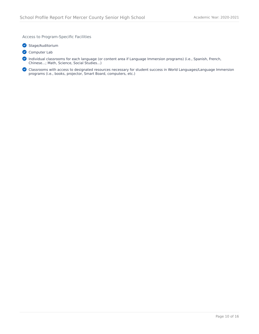Access to Program-Specific Facilities

Stage/Auditorium

Computer Lab

Individual classrooms for each language (or content area if Language Immersion programs) (i.e., Spanish, French, Chinese...; Math, Science, Social Studies...)

Classrooms with access to designated resources necessary for student success in World Languages/Language Immersion programs (i.e., books, projector, Smart Board, computers, etc.)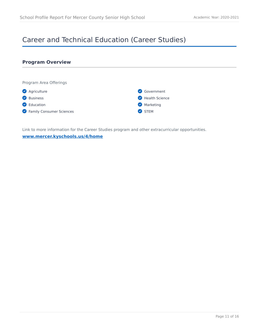# <span id="page-10-0"></span>Career and Technical Education (Career Studies)

# **Program Overview** Program Area Offerings **Agriculture Business C** Education Government **Health Science Marketing**

**C** Family Consumer Sciences

STEM

Link to more information for the Career Studies program and other extracurricular opportunities.

#### **[www.mercer.kyschools.us/4/home](https://www.mercer.kyschools.us/4/home)**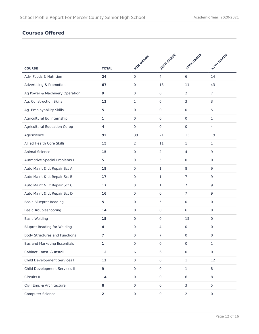# **Courses Offered**

|                                      |                         | <b>OTH GRADE</b>    | <b>LOTH GRADE</b>   | <b>21TH GRADE</b> | <b>22TH GRADE</b>   |
|--------------------------------------|-------------------------|---------------------|---------------------|-------------------|---------------------|
| <b>COURSE</b>                        | <b>TOTAL</b>            |                     |                     |                   |                     |
| Adv. Foods & Nutrition               | 24                      | $\mathsf{O}\xspace$ | $\overline{4}$      | 6                 | 14                  |
| Advertising & Promotion              | 67                      | $\mathbf 0$         | 13                  | 11                | 43                  |
| Ag Power & Machinery Operation       | 9                       | $\mathbf{0}$        | $\pmb{0}$           | $\overline{2}$    | $\overline{7}$      |
| Ag. Construction Skills              | 13                      | $\mathbf{1}$        | 6                   | 3                 | 3                   |
| Ag. Employability Skills             | 5                       | $\mathbf 0$         | $\mathbf 0$         | 0                 | 5                   |
| Agricultural Ed Internship           | 1                       | $\mathbf 0$         | $\mathbf 0$         | 0                 | 1                   |
| Agricultural Education Co-op         | 4                       | $\mathbf{0}$        | $\mathbf 0$         | $\mathbf 0$       | 4                   |
| Agriscience                          | 92                      | 39                  | 21                  | 13                | 19                  |
| Allied Health Core Skills            | 15                      | $\overline{2}$      | 11                  | 1                 | 1                   |
| Animal Science                       | 15                      | $\mathsf{O}\xspace$ | 2                   | 4                 | 9                   |
| Autmotive Special Problems I         | 5                       | $\mathbf 0$         | 5                   | 0                 | 0                   |
| Auto Maint & Lt Repair Sct A         | 18                      | $\mathbf 0$         | $\mathbf{1}$        | 8                 | 9                   |
| Auto Maint & Lt Repair Sct B         | 17                      | $\mathbf{0}$        | $\mathbf{1}$        | $\overline{7}$    | 9                   |
| Auto Maint & Lt Repair Sct C         | 17                      | $\mathbf 0$         | 1                   | $\overline{7}$    | 9                   |
| Auto Maint & Lt Repair Sct D         | 16                      | $\mathbf{0}$        | $\pmb{0}$           | $\overline{7}$    | 9                   |
| <b>Basic Blueprnt Reading</b>        | 5                       | $\mathbf 0$         | 5                   | 0                 | 0                   |
| <b>Basic Troubleshooting</b>         | 14                      | $\mathbf 0$         | $\mathbf 0$         | 6                 | 8                   |
| <b>Basic Welding</b>                 | 15                      | $\mathbf 0$         | $\mathbf 0$         | 15                | 0                   |
| <b>Bluprnt Reading for Welding</b>   | 4                       | $\mathbf{0}$        | 4                   | 0                 | 0                   |
| <b>Body Structures and Functions</b> | 7                       | $\mathbf 0$         | $\overline{7}$      | 0                 | 0                   |
| <b>Bus and Marketing Essentials</b>  | 1                       | $\mathbf 0$         | $\boldsymbol{0}$    | 0                 | 1                   |
| Cabinet Const. & Install.            | 12                      | 6                   | $6\,$               | $\mathbf 0$       | $\mathbf 0$         |
| Child Development Services I         | 13                      | $\mathsf{O}\xspace$ | $\mathsf{O}\xspace$ | $\mathbf{1}$      | 12                  |
| Child Development Services II        | $\mathbf{9}$            | $\mathsf{O}\xspace$ | $\mathsf{O}\xspace$ | $\mathbf{1}$      | 8                   |
| Circuits II                          | 14                      | $\mathbf 0$         | $\mathsf{O}\xspace$ | 6                 | 8                   |
| Civil Eng. & Architecture            | 8                       | $\mathsf{O}\xspace$ | $\mathsf{O}\xspace$ | 3                 | 5                   |
| Computer Science                     | $\overline{\mathbf{2}}$ | $\mathsf{O}\xspace$ | $\mathsf{O}\xspace$ | $\overline{2}$    | $\mathsf{O}\xspace$ |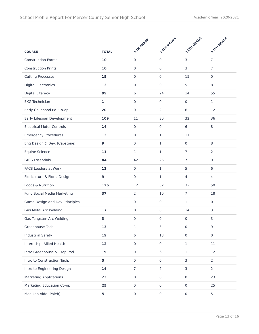|                                  |              | <b>OTH GRADE</b>    | <b>LOTH GRADE</b>   | <b>1.1TH GRADE</b>  | <b>22TH GRADE</b>   |
|----------------------------------|--------------|---------------------|---------------------|---------------------|---------------------|
| <b>COURSE</b>                    | <b>TOTAL</b> |                     |                     |                     |                     |
| <b>Construction Forms</b>        | 10           | $\mathbf 0$         | $\mathbf 0$         | 3                   | $\overline{7}$      |
| <b>Construction Prints</b>       | 10           | $\mathbf 0$         | $\pmb{0}$           | 3                   | $\overline{7}$      |
| <b>Cutting Processes</b>         | 15           | $\mathbf 0$         | $\mathbf 0$         | 15                  | $\mathbf 0$         |
| <b>Digital Electronics</b>       | 13           | $\mathbf 0$         | $\mathbf 0$         | 5                   | 8                   |
| Digital Literacy                 | 99           | 6                   | 24                  | 14                  | 55                  |
| <b>EKG Technician</b>            | $\mathbf{1}$ | $\mathbf 0$         | $\mathsf{O}\xspace$ | $\mathbf 0$         | $\mathbf{1}$        |
| Early Childhood Ed. Co-op        | 20           | $\mathbf 0$         | 2                   | 6                   | 12                  |
| Early Lifespan Development       | 109          | 11                  | 30                  | 32                  | 36                  |
| <b>Electrical Motor Controls</b> | 14           | $\mathsf{O}\xspace$ | $\mathbf 0$         | 6                   | 8                   |
| <b>Emergency Procedures</b>      | 13           | $\mathbf 0$         | 1                   | 11                  | 1                   |
| Eng Design & Dev. (Capstone)     | 9            | $\mathbf{0}$        | $\mathbf{1}$        | $\mathbf 0$         | 8                   |
| Equine Science                   | 11           | $\mathbf{1}$        | $\mathbf{1}$        | $\overline{7}$      | 2                   |
| <b>FACS Essentials</b>           | 84           | 42                  | 26                  | $\overline{7}$      | 9                   |
| <b>FACS Leaders at Work</b>      | 12           | $\mathbf 0$         | $\mathbf{1}$        | 5                   | 6                   |
| Floriculture & Floral Design     | 9            | $\mathbf{0}$        | $\mathbf{1}$        | $\overline{4}$      | 4                   |
| Foods & Nutrition                | 126          | 12                  | 32                  | 32                  | 50                  |
| Fund Social Media Marketing      | 37           | $\overline{2}$      | 10                  | $\overline{7}$      | 18                  |
| Game Design and Dev Principles   | 1            | $\mathbf 0$         | $\mathsf{O}\xspace$ | 1                   | 0                   |
| Gas Metal Arc Welding            | 17           | $\mathbf 0$         | $\mathbf 0$         | 14                  | 3                   |
| Gas Tungsten Arc Welding         | 3            | $\mathbf 0$         | $\mathbf 0$         | $\mathbf 0$         | 3                   |
| Greenhouse Tech.                 | 13           | 1                   | 3                   | 0                   | 9                   |
| <b>Industrial Safety</b>         | 19           | $6\,$               | 13                  | $\mathsf{O}\xspace$ | $\mathsf{O}\xspace$ |
| Internship: Allied Health        | 12           | $\mathsf{O}\xspace$ | $\mathsf{O}\xspace$ | $\mathbf 1$         | $11\,$              |
| Intro Greenhouse & CropProd      | 19           | $\mathbf 0$         | 6                   | $\mathbf 1$         | 12                  |
| Intro to Construction Tech.      | 5            | $\mathsf{O}\xspace$ | $\mathsf{O}\xspace$ | 3                   | $\overline{2}$      |
| Intro to Engineering Design      | 14           | $\overline{7}$      | $\overline{2}$      | 3                   | $\overline{2}$      |
| <b>Marketing Applications</b>    | 23           | $\mathsf{O}\xspace$ | $\mathsf{O}\xspace$ | $\mathsf{O}\xspace$ | 23                  |
| Marketing Education Co-op        | 25           | $\mathsf{O}\xspace$ | $\mathsf{O}\xspace$ | $\mathsf{O}\xspace$ | 25                  |
| Med Lab Aide (Phleb)             | 5            | $\pmb{0}$           | $\mathsf{O}\xspace$ | $\mathsf{O}\xspace$ | 5                   |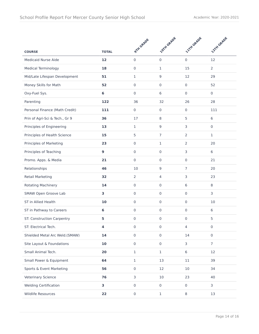|                                |              | <b>9TH GRADE</b>    | <b>LOTH GRADE</b>   | <b>LITTLGRADE</b> | <b>22TH GRADE</b>   |
|--------------------------------|--------------|---------------------|---------------------|-------------------|---------------------|
| <b>COURSE</b>                  | <b>TOTAL</b> |                     |                     |                   |                     |
| Medicaid Nurse Aide            | 12           | $\mathbf 0$         | $\mathbf 0$         | 0                 | 12                  |
| <b>Medical Terminology</b>     | 18           | $\mathbf 0$         | $\mathbf{1}$        | 15                | $\overline{2}$      |
| Mid/Late Lifespan Development  | 51           | $\mathbf{1}$        | $\boldsymbol{9}$    | 12                | 29                  |
| Money Skills for Math          | 52           | $\mathbf 0$         | $\mathbf 0$         | $\mathbf 0$       | 52                  |
| Oxy-Fuel Sys.                  | 6            | $\mathbf 0$         | 6                   | $\mathbf 0$       | 0                   |
| Parenting                      | 122          | 36                  | 32                  | 26                | 28                  |
| Personal Finance (Math Credit) | 111          | $\mathbf 0$         | 0                   | $\mathbf 0$       | 111                 |
| Prin of Agri-Sci & Tech., Gr 9 | 36           | 17                  | 8                   | 5                 | 6                   |
| Principles of Engineering      | 13           | $\mathbf{1}$        | $\boldsymbol{9}$    | 3                 | $\mathbf 0$         |
| Principles of Health Science   | 15           | 5                   | $\overline{7}$      | 2                 | 1                   |
| Principles of Marketing        | 23           | $\mathbf 0$         | $\mathbf{1}$        | $\overline{2}$    | 20                  |
| Principles of Teaching         | 9            | $\mathbf 0$         | $\mathbf 0$         | 3                 | 6                   |
| Promo. Apps. & Media           | 21           | $\mathbf 0$         | $\mathbf 0$         | $\mathbf 0$       | 21                  |
| Relationships                  | 46           | 10                  | 9                   | $\overline{7}$    | 20                  |
| <b>Retail Marketing</b>        | 32           | $\overline{2}$      | $\overline{4}$      | 3                 | 23                  |
| Rotating Machinery             | 14           | $\mathbf 0$         | $\mathbf 0$         | 6                 | 8                   |
| SMAW Open Groove Lab           | 3            | $\mathbf 0$         | $\mathbf 0$         | $\mathbf 0$       | 3                   |
| ST in Allied Health            | 10           | $\mathbf 0$         | $\pmb{0}$           | $\mathbf 0$       | 10                  |
| ST in Pathway to Careers       | 6            | $\mathbf 0$         | $\mathbf 0$         | 0                 | 6                   |
| ST: Construction Carpentry     | 5            | $\mathbf 0$         | $\mathbf 0$         | $\mathbf 0$       | 5                   |
| ST: Electrical Tech.           | 4            | $\mathsf{O}\xspace$ | 0                   | 4                 | $\mathbf 0$         |
| Shielded Metal Arc Weld.(SMAW) | 14           | $\mathsf{O}\xspace$ | $\mathsf{O}\xspace$ | 14                | $\mathsf{O}\xspace$ |
| Site Layout & Foundations      | 10           | $\mathbf 0$         | $\mathsf{O}\xspace$ | 3                 | 7 <sup>1</sup>      |
| Small Animal Tech.             | 20           | $\mathbf{1}$        | $\mathbf{1}$        | $6\,$             | 12                  |
| Small Power & Equipment        | 64           | $\mathbf{1}$        | 13                  | 11                | 39                  |
| Sports & Event Marketing       | 56           | $\mathbf 0$         | 12                  | 10                | 34                  |
| Veterinary Science             | 76           | $\mathsf{3}$        | $10$                | 23                | 40                  |
| <b>Welding Certification</b>   | 3            | $\mathsf{O}\xspace$ | $\mathsf{O}\xspace$ | $\mathbf 0$       | 3                   |
| Wildlife Resources             | 22           | $\mathsf{O}\xspace$ | $\mathbf 1$         | 8                 | 13                  |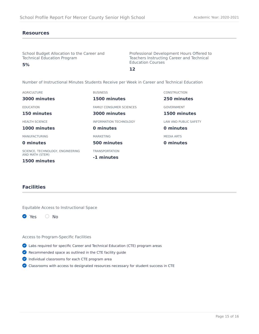#### **Resources**

**5%**

School Budget Allocation to the Career and Technical Education Program

Professional Development Hours Offered to Teachers Instructing Career and Technical Education Courses

**12**

Number of Instructional Minutes Students Receive per Week in Career and Technical Education

| <b>AGRICULTURE</b>               | <b>BUSINESS</b>                 | <b>CONSTRUCTION</b>   |
|----------------------------------|---------------------------------|-----------------------|
| 3000 minutes                     | 1500 minutes                    | 250 minutes           |
| <b>EDUCATION</b>                 | <b>FAMILY CONSUMER SCIENCES</b> | <b>GOVERNMENT</b>     |
| 150 minutes                      | 3000 minutes                    | 1500 minutes          |
| <b>HEALTH SCIENCE</b>            | INFORMATION TECHNOLOGY          | LAW AND PUBLIC SAFETY |
| 1000 minutes                     | 0 minutes                       | 0 minutes             |
| <b>MANUFACTURING</b>             | <b>MARKETING</b>                | <b>MEDIA ARTS</b>     |
| 0 minutes                        | 500 minutes                     | 0 minutes             |
| SCIENCE, TECHNOLOGY, ENGINEERING | <b>TRANSPORTATION</b>           |                       |
| AND MATH (STEM)<br>1500 minutes  | -1 minutes                      |                       |

# **Facilities**

Equitable Access to Instructional Space



#### Access to Program-Specific Facilities

- Labs required for specific Career and Technical Education (CTE) program areas
- Recommended space as outlined in the CTE facility guide
- Individual classrooms for each CTE program area
- Classrooms with access to designated resources necessary for student success in CTE